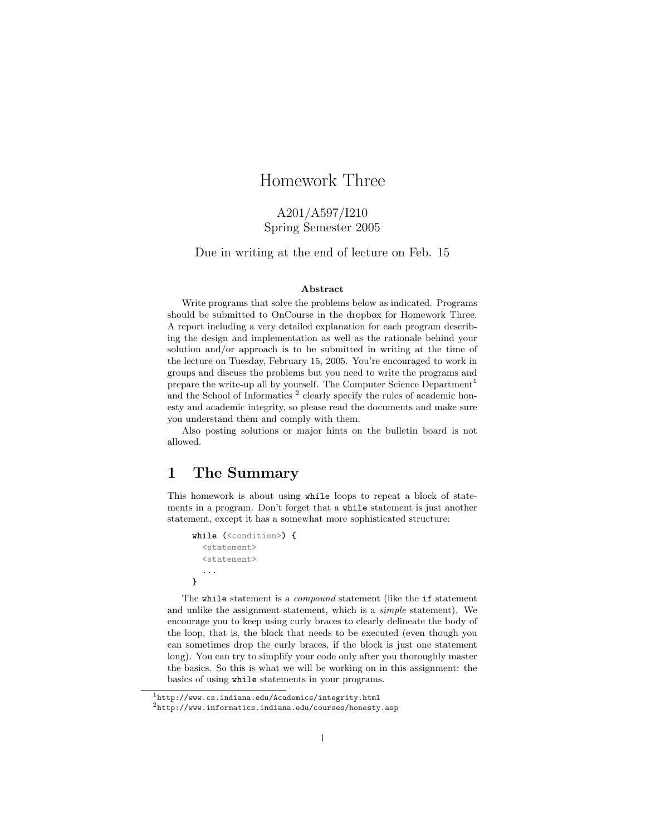# Homework Three

# A201/A597/I210 Spring Semester 2005

Due in writing at the end of lecture on Feb. 15

#### Abstract

Write programs that solve the problems below as indicated. Programs should be submitted to OnCourse in the dropbox for Homework Three. A report including a very detailed explanation for each program describing the design and implementation as well as the rationale behind your solution and/or approach is to be submitted in writing at the time of the lecture on Tuesday, February 15, 2005. You're encouraged to work in groups and discuss the problems but you need to write the programs and prepare the write-up all by yourself. The Computer Science Department<sup>1</sup> and the School of Informatics<sup>2</sup> clearly specify the rules of academic honesty and academic integrity, so please read the documents and make sure you understand them and comply with them.

Also posting solutions or major hints on the bulletin board is not allowed.

# 1 The Summary

This homework is about using while loops to repeat a block of statements in a program. Don't forget that a while statement is just another statement, except it has a somewhat more sophisticated structure:

```
while (<condition>) {
  <statement>
  <statement>
  ...
}
```
The while statement is a *compound* statement (like the if statement and unlike the assignment statement, which is a simple statement). We encourage you to keep using curly braces to clearly delineate the body of the loop, that is, the block that needs to be executed (even though you can sometimes drop the curly braces, if the block is just one statement long). You can try to simplify your code only after you thoroughly master the basics. So this is what we will be working on in this assignment: the basics of using while statements in your programs.

 $1$ http://www.cs.indiana.edu/Academics/integrity.html

 $^{2}$ http://www.informatics.indiana.edu/courses/honesty.asp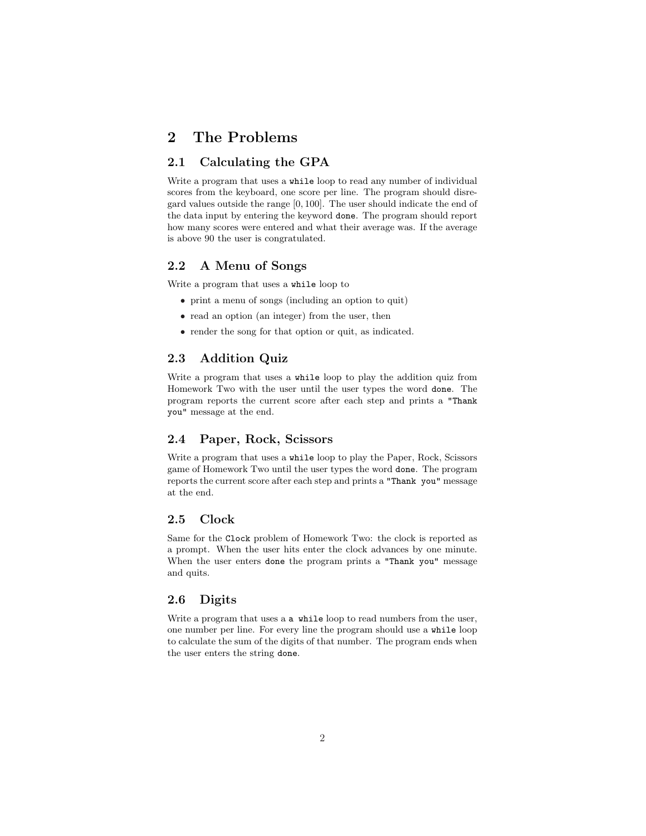# 2 The Problems

# 2.1 Calculating the GPA

Write a program that uses a while loop to read any number of individual scores from the keyboard, one score per line. The program should disregard values outside the range [0, 100]. The user should indicate the end of the data input by entering the keyword done. The program should report how many scores were entered and what their average was. If the average is above 90 the user is congratulated.

### 2.2 A Menu of Songs

Write a program that uses a while loop to

- print a menu of songs (including an option to quit)
- read an option (an integer) from the user, then
- render the song for that option or quit, as indicated.

## 2.3 Addition Quiz

Write a program that uses a while loop to play the addition quiz from Homework Two with the user until the user types the word done. The program reports the current score after each step and prints a "Thank you" message at the end.

## 2.4 Paper, Rock, Scissors

Write a program that uses a while loop to play the Paper, Rock, Scissors game of Homework Two until the user types the word done. The program reports the current score after each step and prints a "Thank you" message at the end.

# 2.5 Clock

Same for the Clock problem of Homework Two: the clock is reported as a prompt. When the user hits enter the clock advances by one minute. When the user enters done the program prints a "Thank you" message and quits.

### 2.6 Digits

Write a program that uses a a while loop to read numbers from the user, one number per line. For every line the program should use a while loop to calculate the sum of the digits of that number. The program ends when the user enters the string done.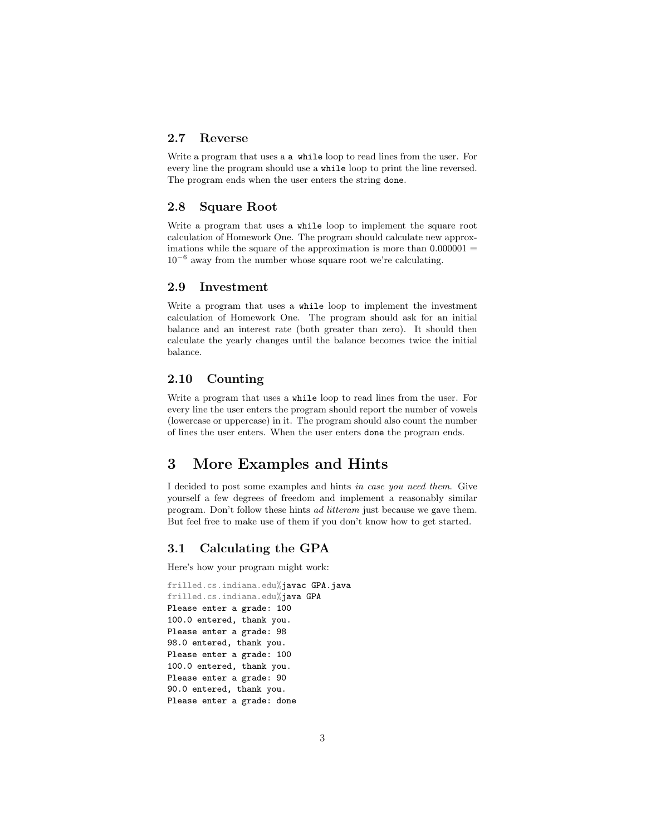# 2.7 Reverse

Write a program that uses a a while loop to read lines from the user. For every line the program should use a while loop to print the line reversed. The program ends when the user enters the string done.

## 2.8 Square Root

Write a program that uses a while loop to implement the square root calculation of Homework One. The program should calculate new approximations while the square of the approximation is more than  $0.000001 =$ 10<sup>−</sup><sup>6</sup> away from the number whose square root we're calculating.

### 2.9 Investment

Write a program that uses a while loop to implement the investment calculation of Homework One. The program should ask for an initial balance and an interest rate (both greater than zero). It should then calculate the yearly changes until the balance becomes twice the initial balance.

# 2.10 Counting

Write a program that uses a while loop to read lines from the user. For every line the user enters the program should report the number of vowels (lowercase or uppercase) in it. The program should also count the number of lines the user enters. When the user enters done the program ends.

# 3 More Examples and Hints

I decided to post some examples and hints in case you need them. Give yourself a few degrees of freedom and implement a reasonably similar program. Don't follow these hints ad litteram just because we gave them. But feel free to make use of them if you don't know how to get started.

# 3.1 Calculating the GPA

Here's how your program might work:

```
frilled.cs.indiana.edu%javac GPA.java
frilled.cs.indiana.edu%java GPA
Please enter a grade: 100
100.0 entered, thank you.
Please enter a grade: 98
98.0 entered, thank you.
Please enter a grade: 100
100.0 entered, thank you.
Please enter a grade: 90
90.0 entered, thank you.
Please enter a grade: done
```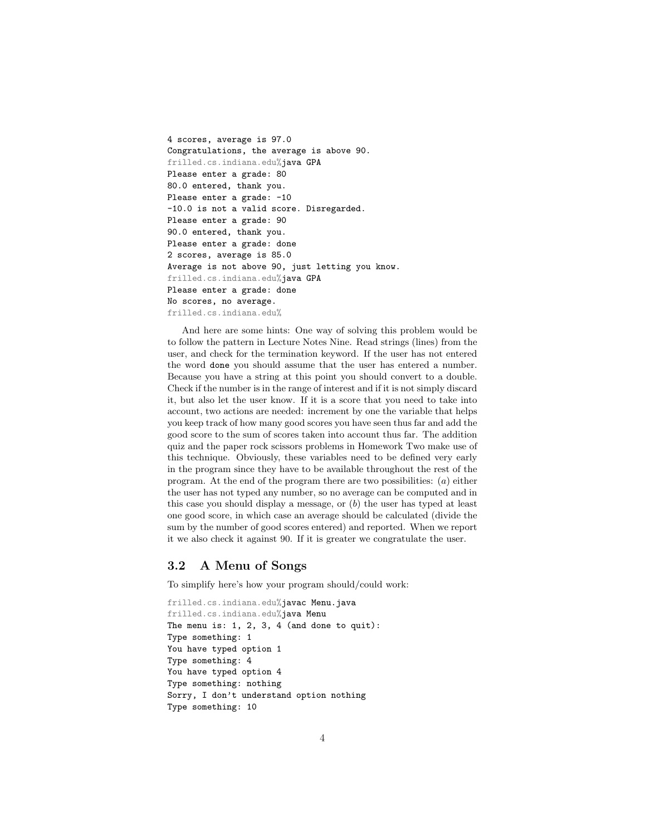```
4 scores, average is 97.0
Congratulations, the average is above 90.
frilled.cs.indiana.edu%java GPA
Please enter a grade: 80
80.0 entered, thank you.
Please enter a grade: -10
-10.0 is not a valid score. Disregarded.
Please enter a grade: 90
90.0 entered, thank you.
Please enter a grade: done
2 scores, average is 85.0
Average is not above 90, just letting you know.
frilled.cs.indiana.edu%java GPA
Please enter a grade: done
No scores, no average.
frilled.cs.indiana.edu%
```
And here are some hints: One way of solving this problem would be to follow the pattern in Lecture Notes Nine. Read strings (lines) from the user, and check for the termination keyword. If the user has not entered the word done you should assume that the user has entered a number. Because you have a string at this point you should convert to a double. Check if the number is in the range of interest and if it is not simply discard it, but also let the user know. If it is a score that you need to take into account, two actions are needed: increment by one the variable that helps you keep track of how many good scores you have seen thus far and add the good score to the sum of scores taken into account thus far. The addition quiz and the paper rock scissors problems in Homework Two make use of this technique. Obviously, these variables need to be defined very early in the program since they have to be available throughout the rest of the program. At the end of the program there are two possibilities:  $(a)$  either the user has not typed any number, so no average can be computed and in this case you should display a message, or  $(b)$  the user has typed at least one good score, in which case an average should be calculated (divide the sum by the number of good scores entered) and reported. When we report it we also check it against 90. If it is greater we congratulate the user.

# 3.2 A Menu of Songs

To simplify here's how your program should/could work:

```
frilled.cs.indiana.edu%javac Menu.java
frilled.cs.indiana.edu%java Menu
The menu is: 1, 2, 3, 4 (and done to quit):
Type something: 1
You have typed option 1
Type something: 4
You have typed option 4
Type something: nothing
Sorry, I don't understand option nothing
Type something: 10
```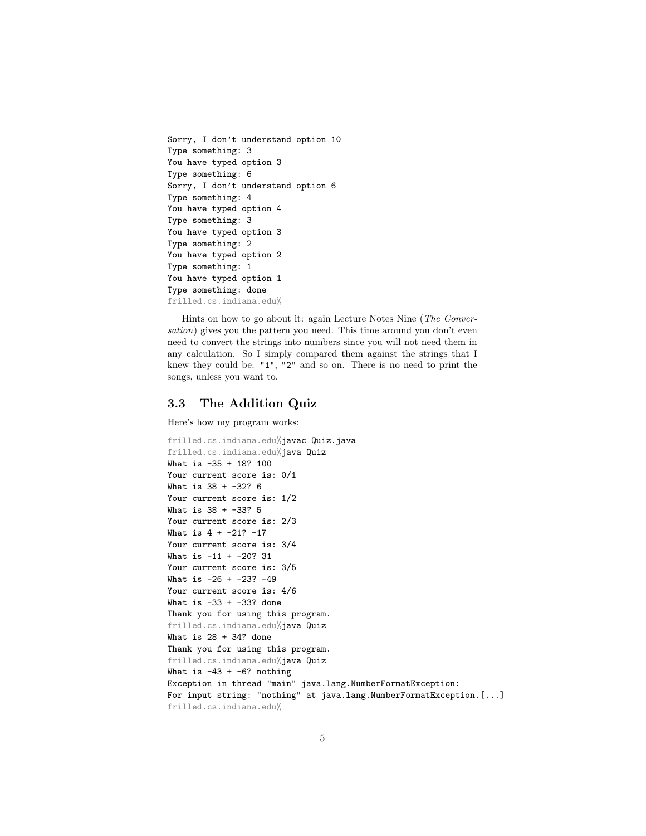```
Sorry, I don't understand option 10
Type something: 3
You have typed option 3
Type something: 6
Sorry, I don't understand option 6
Type something: 4
You have typed option 4
Type something: 3
You have typed option 3
Type something: 2
You have typed option 2
Type something: 1
You have typed option 1
Type something: done
frilled.cs.indiana.edu%
```
Hints on how to go about it: again Lecture Notes Nine (The Conversation) gives you the pattern you need. This time around you don't even need to convert the strings into numbers since you will not need them in any calculation. So I simply compared them against the strings that I knew they could be: "1", "2" and so on. There is no need to print the songs, unless you want to.

## 3.3 The Addition Quiz

Here's how my program works:

```
frilled.cs.indiana.edu%javac Quiz.java
frilled.cs.indiana.edu%java Quiz
What is -35 + 18? 100
Your current score is: 0/1
What is 38 + -32? 6
Your current score is: 1/2
What is 38 + -33? 5
Your current score is: 2/3
What is 4 + -21? -17Your current score is: 3/4
What is -11 + -20? 31
Your current score is: 3/5
What is -26 + -23? -49Your current score is: 4/6
What is -33 + -33? done
Thank you for using this program.
frilled.cs.indiana.edu%java Quiz
What is 28 + 34? done
Thank you for using this program.
frilled.cs.indiana.edu%java Quiz
What is -43 + -6? nothing
Exception in thread "main" java.lang.NumberFormatException:
For input string: "nothing" at java.lang.NumberFormatException.[...]
frilled.cs.indiana.edu%
```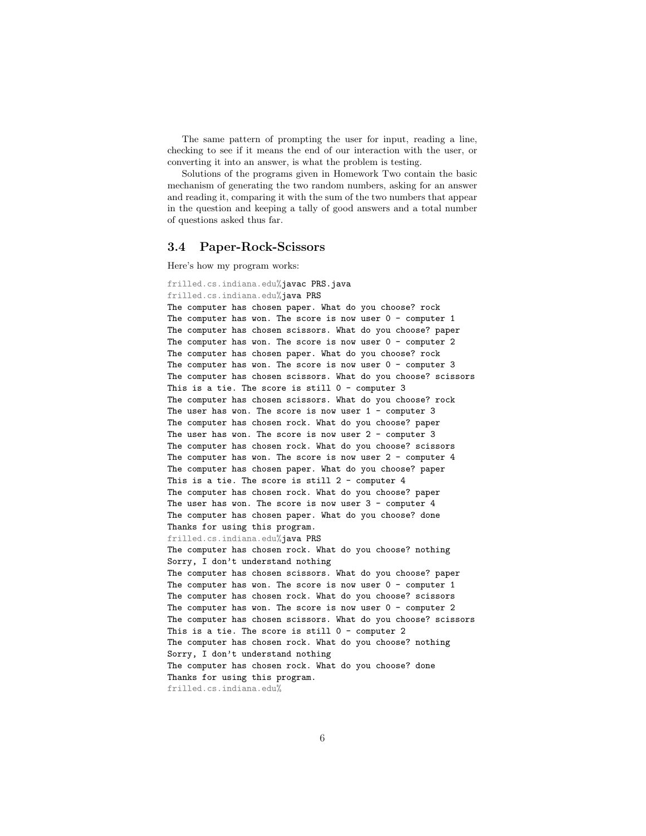The same pattern of prompting the user for input, reading a line, checking to see if it means the end of our interaction with the user, or converting it into an answer, is what the problem is testing.

Solutions of the programs given in Homework Two contain the basic mechanism of generating the two random numbers, asking for an answer and reading it, comparing it with the sum of the two numbers that appear in the question and keeping a tally of good answers and a total number of questions asked thus far.

### 3.4 Paper-Rock-Scissors

Here's how my program works:

```
frilled.cs.indiana.edu%javac PRS.java
frilled.cs.indiana.edu%java PRS
The computer has chosen paper. What do you choose? rock
The computer has won. The score is now user 0 - computer 1
The computer has chosen scissors. What do you choose? paper
The computer has won. The score is now user 0 - computer 2The computer has chosen paper. What do you choose? rock
The computer has won. The score is now user 0 - computer 3
The computer has chosen scissors. What do you choose? scissors
This is a tie. The score is still 0 - computer 3
The computer has chosen scissors. What do you choose? rock
The user has won. The score is now user 1 - computer 3
The computer has chosen rock. What do you choose? paper
The user has won. The score is now user 2 - computer 3The computer has chosen rock. What do you choose? scissors
The computer has won. The score is now user 2 - computer 4The computer has chosen paper. What do you choose? paper
This is a tie. The score is still 2 - computer 4
The computer has chosen rock. What do you choose? paper
The user has won. The score is now user 3 - computer 4The computer has chosen paper. What do you choose? done
Thanks for using this program.
frilled.cs.indiana.edu%java PRS
The computer has chosen rock. What do you choose? nothing
Sorry, I don't understand nothing
The computer has chosen scissors. What do you choose? paper
The computer has won. The score is now user 0 - computer 1
The computer has chosen rock. What do you choose? scissors
The computer has won. The score is now user 0 - computer 2The computer has chosen scissors. What do you choose? scissors
This is a tie. The score is still 0 - computer 2
The computer has chosen rock. What do you choose? nothing
Sorry, I don't understand nothing
The computer has chosen rock. What do you choose? done
Thanks for using this program.
frilled.cs.indiana.edu%
```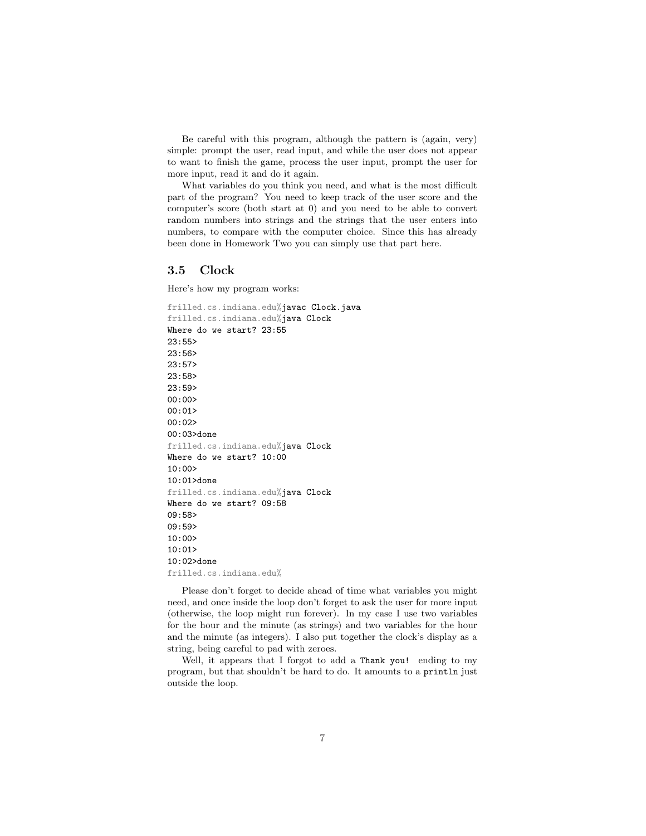Be careful with this program, although the pattern is (again, very) simple: prompt the user, read input, and while the user does not appear to want to finish the game, process the user input, prompt the user for more input, read it and do it again.

What variables do you think you need, and what is the most difficult part of the program? You need to keep track of the user score and the computer's score (both start at 0) and you need to be able to convert random numbers into strings and the strings that the user enters into numbers, to compare with the computer choice. Since this has already been done in Homework Two you can simply use that part here.

#### 3.5 Clock

Here's how my program works:

```
frilled.cs.indiana.edu%javac Clock.java
frilled.cs.indiana.edu%java Clock
Where do we start? 23:55
23:55>
23:56>
23:57>
23:58>
23:59>
00:00>
00:0100:02>
00:03>done
frilled.cs.indiana.edu%java Clock
Where do we start? 10:00
10:00>
10:01>done
frilled.cs.indiana.edu%java Clock
Where do we start? 09:58
09:58>
09:59>
10:00>
10:01>
10:02>done
frilled.cs.indiana.edu%
```
Please don't forget to decide ahead of time what variables you might need, and once inside the loop don't forget to ask the user for more input (otherwise, the loop might run forever). In my case I use two variables for the hour and the minute (as strings) and two variables for the hour and the minute (as integers). I also put together the clock's display as a string, being careful to pad with zeroes.

Well, it appears that I forgot to add a Thank you! ending to my program, but that shouldn't be hard to do. It amounts to a println just outside the loop.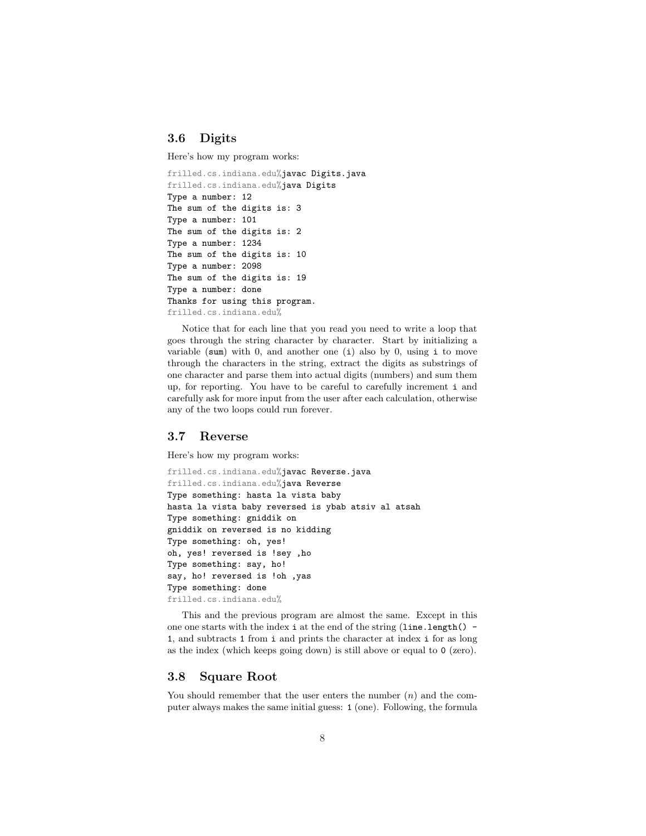# 3.6 Digits

Here's how my program works:

```
frilled.cs.indiana.edu%javac Digits.java
frilled.cs.indiana.edu%java Digits
Type a number: 12
The sum of the digits is: 3
Type a number: 101
The sum of the digits is: 2
Type a number: 1234
The sum of the digits is: 10
Type a number: 2098
The sum of the digits is: 19
Type a number: done
Thanks for using this program.
frilled.cs.indiana.edu%
```
Notice that for each line that you read you need to write a loop that goes through the string character by character. Start by initializing a variable (sum) with 0, and another one  $(i)$  also by 0, using i to move through the characters in the string, extract the digits as substrings of one character and parse them into actual digits (numbers) and sum them up, for reporting. You have to be careful to carefully increment i and carefully ask for more input from the user after each calculation, otherwise any of the two loops could run forever.

# 3.7 Reverse

Here's how my program works:

```
frilled.cs.indiana.edu%javac Reverse.java
frilled.cs.indiana.edu%java Reverse
Type something: hasta la vista baby
hasta la vista baby reversed is ybab atsiv al atsah
Type something: gniddik on
gniddik on reversed is no kidding
Type something: oh, yes!
oh, yes! reversed is !sey ,ho
Type something: say, ho!
say, ho! reversed is !oh ,yas
Type something: done
frilled.cs.indiana.edu%
```
This and the previous program are almost the same. Except in this one one starts with the index  $i$  at the end of the string (line.length() -1, and subtracts 1 from i and prints the character at index i for as long as the index (which keeps going down) is still above or equal to 0 (zero).

### 3.8 Square Root

You should remember that the user enters the number  $(n)$  and the computer always makes the same initial guess: 1 (one). Following, the formula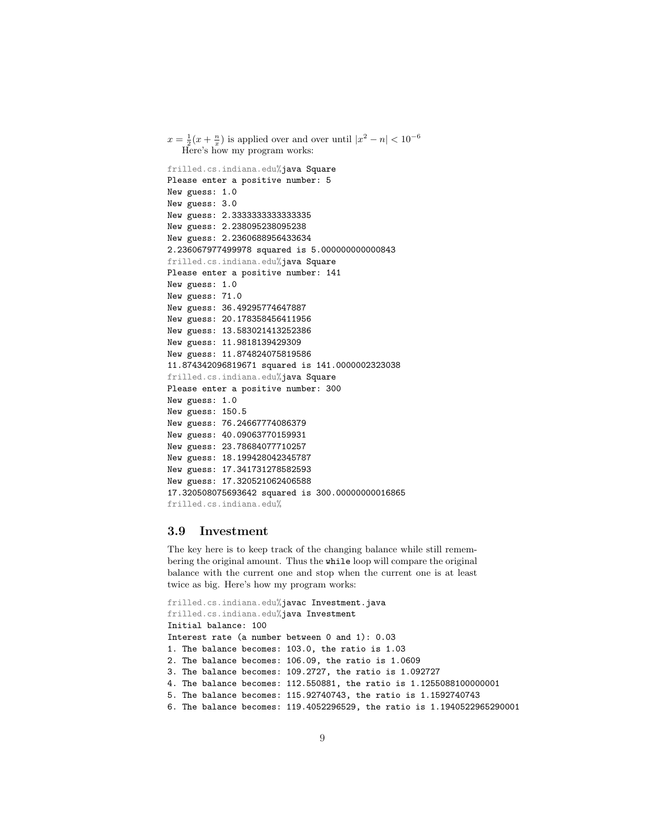```
x = \frac{1}{2}(x + \frac{n}{x}) is applied over and over until |x^2 - n| < 10^{-6}Here's how my program works:
frilled.cs.indiana.edu%java Square
Please enter a positive number: 5
New guess: 1.0
New guess: 3.0
New guess: 2.3333333333333335
New guess: 2.238095238095238
New guess: 2.2360688956433634
2.236067977499978 squared is 5.000000000000843
frilled.cs.indiana.edu%java Square
Please enter a positive number: 141
New guess: 1.0
New guess: 71.0
New guess: 36.49295774647887
New guess: 20.178358456411956
New guess: 13.583021413252386
New guess: 11.9818139429309
New guess: 11.874824075819586
11.874342096819671 squared is 141.0000002323038
frilled.cs.indiana.edu%java Square
Please enter a positive number: 300
New guess: 1.0
New guess: 150.5
New guess: 76.24667774086379
New guess: 40.09063770159931
New guess: 23.78684077710257
New guess: 18.199428042345787
New guess: 17.341731278582593
New guess: 17.320521062406588
17.320508075693642 squared is 300.00000000016865
frilled.cs.indiana.edu%
```
#### 3.9 Investment

The key here is to keep track of the changing balance while still remembering the original amount. Thus the while loop will compare the original balance with the current one and stop when the current one is at least twice as big. Here's how my program works:

```
frilled.cs.indiana.edu%javac Investment.java
frilled.cs.indiana.edu%java Investment
Initial balance: 100
Interest rate (a number between 0 and 1): 0.03
1. The balance becomes: 103.0, the ratio is 1.03
2. The balance becomes: 106.09, the ratio is 1.0609
3. The balance becomes: 109.2727, the ratio is 1.092727
4. The balance becomes: 112.550881, the ratio is 1.1255088100000001
5. The balance becomes: 115.92740743, the ratio is 1.1592740743
6. The balance becomes: 119.4052296529, the ratio is 1.1940522965290001
```